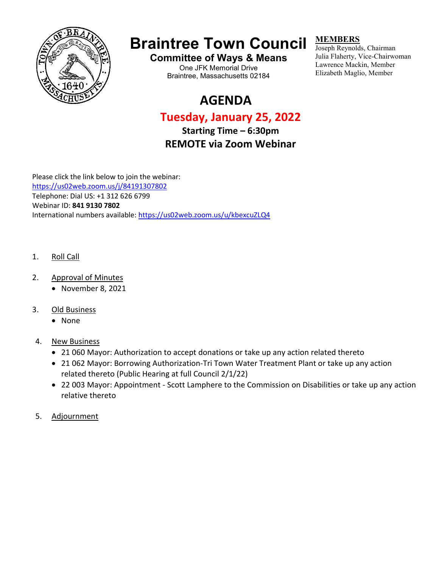

# **Braintree Town Council**

**Committee of Ways & Means** One JFK Memorial Drive Braintree, Massachusetts 02184

# **AGENDA**

## **Tuesday, January 25, 2022**

**Starting Time – 6:30pm REMOTE via Zoom Webinar**

Please click the link below to join the webinar: <https://us02web.zoom.us/j/84191307802> Telephone: Dial US: +1 312 626 6799

Webinar ID: **841 9130 7802**

International numbers available:<https://us02web.zoom.us/u/kbexcuZLQ4>

- 1. Roll Call
- 2. Approval of Minutes
	- November 8, 2021
- 3. Old Business
	- None
- 4. New Business
	- 21 060 Mayor: Authorization to accept donations or take up any action related thereto
	- 21 062 Mayor: Borrowing Authorization-Tri Town Water Treatment Plant or take up any action related thereto (Public Hearing at full Council 2/1/22)
	- 22 003 Mayor: Appointment Scott Lamphere to the Commission on Disabilities or take up any action relative thereto
- 5. Adjournment

### **MEMBERS**

Joseph Reynolds, Chairman Julia Flaherty, Vice-Chairwoman Lawrence Mackin, Member Elizabeth Maglio, Member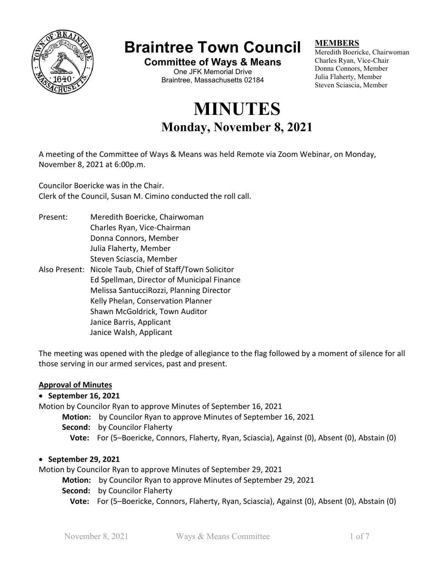

# **Braintree Town Council**

**Committee of Ways & Means** One JFK Memorial Drive Braintree, Massachusetts 02184

# **MINUTES Monday, November 8, 2021**

### **MEMBERS**

Meredith Boericke, Chairwoman Charles Ryan, Vice-Chair Donna Connors, Member Julia Flaherty, Member Steven Sciascia, Member

A meeting of the Committee of Ways & Means was held Remote via Zoom Webinar, on Monday, November 8, 2021 at 6:00p.m.

Councilor Boericke was in the Chair. Clerk of the Council, Susan M. Cimino conducted the roll call.

Present: Meredith Boericke, Chairwoman Charles Ryan, Vice-Chairman Donna Connors, Member Julia Flaherty, Member Steven Sciascia, Member Also Present: Nicole Taub, Chief of Staff/Town Solicitor Ed Spellman, Director of Municipal Finance Melissa SantucciRozzi, Planning Director Kelly Phelan, Conservation Planner Shawn McGoldrick, Town Auditor Janice Barris, Applicant

Janice Walsh, Applicant

The meeting was opened with the pledge of allegiance to the flag followed by a moment of silence for all those serving in our armed services, past and present.

### **Approval of Minutes**

### • **September 16, 2021**

Motion by Councilor Ryan to approve Minutes of September 16, 2021

- **Motion:** by Councilor Ryan to approve Minutes of September 16, 2021
- **Second:** by Councilor Flaherty
	- **Vote:** For (5–Boericke, Connors, Flaherty, Ryan, Sciascia), Against (0), Absent (0), Abstain (0)

### • **September 29, 2021**

Motion by Councilor Ryan to approve Minutes of September 29, 2021

- **Motion:** by Councilor Ryan to approve Minutes of September 29, 2021
- **Second:** by Councilor Flaherty
	- **Vote:** For (5–Boericke, Connors, Flaherty, Ryan, Sciascia), Against (0), Absent (0), Abstain (0)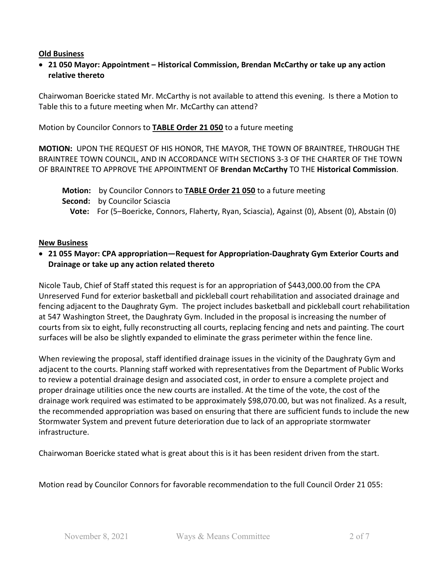### **Old Business**

• **21 050 Mayor: Appointment – Historical Commission, Brendan McCarthy or take up any action relative thereto**

Chairwoman Boericke stated Mr. McCarthy is not available to attend this evening. Is there a Motion to Table this to a future meeting when Mr. McCarthy can attend?

Motion by Councilor Connors to **TABLE Order 21 050** to a future meeting

**MOTION:** UPON THE REQUEST OF HIS HONOR, THE MAYOR, THE TOWN OF BRAINTREE, THROUGH THE BRAINTREE TOWN COUNCIL, AND IN ACCORDANCE WITH SECTIONS 3-3 OF THE CHARTER OF THE TOWN OF BRAINTREE TO APPROVE THE APPOINTMENT OF **Brendan McCarthy** TO THE **Historical Commission**.

 **Motion:** by Councilor Connors to **TABLE Order 21 050** to a future meeting  **Second:** by Councilor Sciascia  **Vote:** For (5–Boericke, Connors, Flaherty, Ryan, Sciascia), Against (0), Absent (0), Abstain (0)

### **New Business**

### • **21 055 Mayor: CPA appropriation—Request for Appropriation-Daughraty Gym Exterior Courts and Drainage or take up any action related thereto**

Nicole Taub, Chief of Staff stated this request is for an appropriation of \$443,000.00 from the CPA Unreserved Fund for exterior basketball and pickleball court rehabilitation and associated drainage and fencing adjacent to the Daughraty Gym. The project includes basketball and pickleball court rehabilitation at 547 Washington Street, the Daughraty Gym. Included in the proposal is increasing the number of courts from six to eight, fully reconstructing all courts, replacing fencing and nets and painting. The court surfaces will be also be slightly expanded to eliminate the grass perimeter within the fence line.

When reviewing the proposal, staff identified drainage issues in the vicinity of the Daughraty Gym and adjacent to the courts. Planning staff worked with representatives from the Department of Public Works to review a potential drainage design and associated cost, in order to ensure a complete project and proper drainage utilities once the new courts are installed. At the time of the vote, the cost of the drainage work required was estimated to be approximately \$98,070.00, but was not finalized. As a result, the recommended appropriation was based on ensuring that there are sufficient funds to include the new Stormwater System and prevent future deterioration due to lack of an appropriate stormwater infrastructure.

Chairwoman Boericke stated what is great about this is it has been resident driven from the start.

Motion read by Councilor Connors for favorable recommendation to the full Council Order 21 055: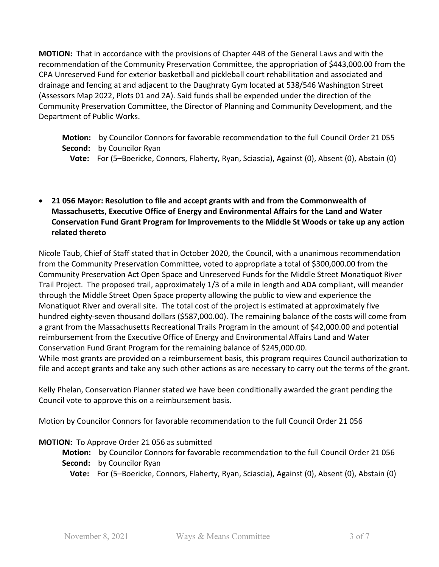**MOTION:** That in accordance with the provisions of Chapter 44B of the General Laws and with the recommendation of the Community Preservation Committee, the appropriation of \$443,000.00 from the CPA Unreserved Fund for exterior basketball and pickleball court rehabilitation and associated and drainage and fencing at and adjacent to the Daughraty Gym located at 538/546 Washington Street (Assessors Map 2022, Plots 01 and 2A). Said funds shall be expended under the direction of the Community Preservation Committee, the Director of Planning and Community Development, and the Department of Public Works.

 **Motion:** by Councilor Connors for favorable recommendation to the full Council Order 21 055  **Second:** by Councilor Ryan

 **Vote:** For (5–Boericke, Connors, Flaherty, Ryan, Sciascia), Against (0), Absent (0), Abstain (0)

• **21 056 Mayor: Resolution to file and accept grants with and from the Commonwealth of Massachusetts, Executive Office of Energy and Environmental Affairs for the Land and Water Conservation Fund Grant Program for Improvements to the Middle St Woods or take up any action related thereto**

Nicole Taub, Chief of Staff stated that in October 2020, the Council, with a unanimous recommendation from the Community Preservation Committee, voted to appropriate a total of \$300,000.00 from the Community Preservation Act Open Space and Unreserved Funds for the Middle Street Monatiquot River Trail Project. The proposed trail, approximately 1/3 of a mile in length and ADA compliant, will meander through the Middle Street Open Space property allowing the public to view and experience the Monatiquot River and overall site. The total cost of the project is estimated at approximately five hundred eighty-seven thousand dollars (\$587,000.00). The remaining balance of the costs will come from a grant from the Massachusetts Recreational Trails Program in the amount of \$42,000.00 and potential reimbursement from the Executive Office of Energy and Environmental Affairs Land and Water Conservation Fund Grant Program for the remaining balance of \$245,000.00.

While most grants are provided on a reimbursement basis, this program requires Council authorization to file and accept grants and take any such other actions as are necessary to carry out the terms of the grant.

Kelly Phelan, Conservation Planner stated we have been conditionally awarded the grant pending the Council vote to approve this on a reimbursement basis.

Motion by Councilor Connors for favorable recommendation to the full Council Order 21 056

### **MOTION:** To Approve Order 21 056 as submitted

- **Motion:** by Councilor Connors for favorable recommendation to the full Council Order 21 056  **Second:** by Councilor Ryan
	- **Vote:** For (5–Boericke, Connors, Flaherty, Ryan, Sciascia), Against (0), Absent (0), Abstain (0)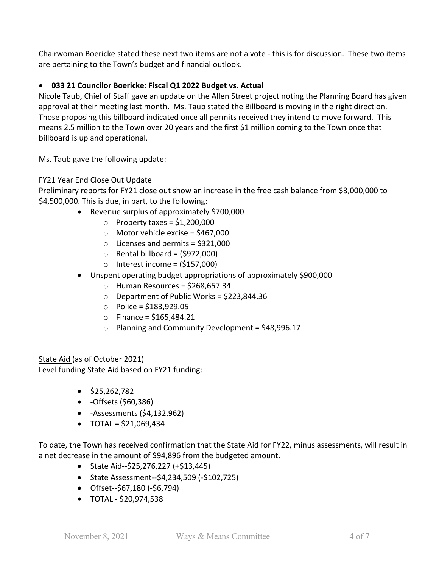Chairwoman Boericke stated these next two items are not a vote - this is for discussion. These two items are pertaining to the Town's budget and financial outlook.

### • **033 21 Councilor Boericke: Fiscal Q1 2022 Budget vs. Actual**

Nicole Taub, Chief of Staff gave an update on the Allen Street project noting the Planning Board has given approval at their meeting last month. Ms. Taub stated the Billboard is moving in the right direction. Those proposing this billboard indicated once all permits received they intend to move forward. This means 2.5 million to the Town over 20 years and the first \$1 million coming to the Town once that billboard is up and operational.

Ms. Taub gave the following update:

### FY21 Year End Close Out Update

Preliminary reports for FY21 close out show an increase in the free cash balance from \$3,000,000 to \$4,500,000. This is due, in part, to the following:

- Revenue surplus of approximately \$700,000
	- $\circ$  Property taxes = \$1,200,000
	- $\circ$  Motor vehicle excise = \$467,000
	- $\circ$  Licenses and permits = \$321,000
	- $\circ$  Rental billboard = (\$972,000)
	- $\circ$  Interest income = (\$157,000)
- Unspent operating budget appropriations of approximately \$900,000
	- $\circ$  Human Resources = \$268,657.34
	- $\circ$  Department of Public Works = \$223,844.36
	- o Police = \$183,929.05
	- o Finance = \$165,484.21
	- $\circ$  Planning and Community Development = \$48,996.17

State Aid (as of October 2021) Level funding State Aid based on FY21 funding:

- \$25,262,782
- -Offsets (\$60,386)
- -Assessments (\$4,132,962)
- $\bullet$  TOTAL = \$21,069,434

To date, the Town has received confirmation that the State Aid for FY22, minus assessments, will result in a net decrease in the amount of \$94,896 from the budgeted amount.

- State Aid--\$25,276,227 (+\$13,445)
- State Assessment--\$4,234,509 (-\$102,725)
- Offset--\$67,180 (-\$6,794)
- TOTAL \$20,974,538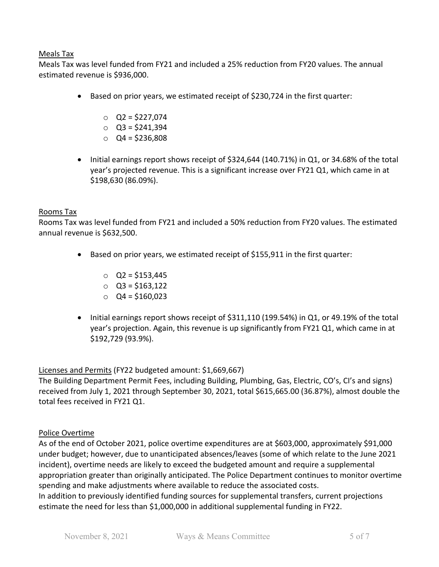### Meals Tax

Meals Tax was level funded from FY21 and included a 25% reduction from FY20 values. The annual estimated revenue is \$936,000.

- Based on prior years, we estimated receipt of \$230,724 in the first quarter:
	- $O$  Q2 = \$227,074
	- $O$  Q3 = \$241,394
	- $O$  Q4 = \$236,808
- Initial earnings report shows receipt of \$324,644 (140.71%) in Q1, or 34.68% of the total year's projected revenue. This is a significant increase over FY21 Q1, which came in at \$198,630 (86.09%).

### Rooms Tax

Rooms Tax was level funded from FY21 and included a 50% reduction from FY20 values. The estimated annual revenue is \$632,500.

- Based on prior years, we estimated receipt of \$155,911 in the first quarter:
	- $O$  Q2 = \$153,445
	- o Q3 = \$163,122
	- $O$  Q4 = \$160,023
- Initial earnings report shows receipt of \$311,110 (199.54%) in Q1, or 49.19% of the total year's projection. Again, this revenue is up significantly from FY21 Q1, which came in at \$192,729 (93.9%).

Licenses and Permits (FY22 budgeted amount: \$1,669,667)

The Building Department Permit Fees, including Building, Plumbing, Gas, Electric, CO's, CI's and signs) received from July 1, 2021 through September 30, 2021, total \$615,665.00 (36.87%), almost double the total fees received in FY21 Q1.

### Police Overtime

As of the end of October 2021, police overtime expenditures are at \$603,000, approximately \$91,000 under budget; however, due to unanticipated absences/leaves (some of which relate to the June 2021 incident), overtime needs are likely to exceed the budgeted amount and require a supplemental appropriation greater than originally anticipated. The Police Department continues to monitor overtime spending and make adjustments where available to reduce the associated costs. In addition to previously identified funding sources for supplemental transfers, current projections estimate the need for less than \$1,000,000 in additional supplemental funding in FY22.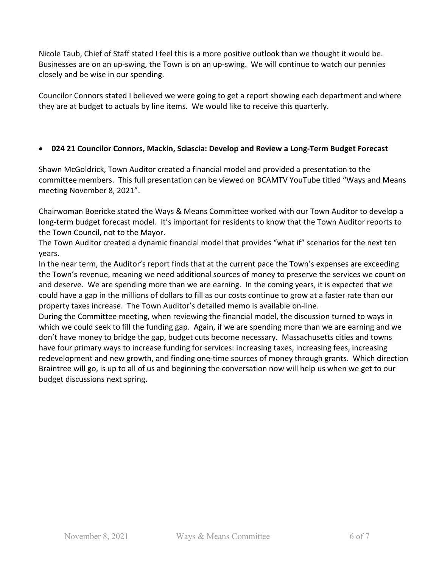Nicole Taub, Chief of Staff stated I feel this is a more positive outlook than we thought it would be. Businesses are on an up-swing, the Town is on an up-swing. We will continue to watch our pennies closely and be wise in our spending.

Councilor Connors stated I believed we were going to get a report showing each department and where they are at budget to actuals by line items. We would like to receive this quarterly.

### • **024 21 Councilor Connors, Mackin, Sciascia: Develop and Review a Long-Term Budget Forecast**

Shawn McGoldrick, Town Auditor created a financial model and provided a presentation to the committee members. This full presentation can be viewed on BCAMTV YouTube titled "Ways and Means meeting November 8, 2021".

Chairwoman Boericke stated the Ways & Means Committee worked with our Town Auditor to develop a long-term budget forecast model. It's important for residents to know that the Town Auditor reports to the Town Council, not to the Mayor.

The Town Auditor created a dynamic financial model that provides "what if" scenarios for the next ten years.

In the near term, the Auditor's report finds that at the current pace the Town's expenses are exceeding the Town's revenue, meaning we need additional sources of money to preserve the services we count on and deserve. We are spending more than we are earning. In the coming years, it is expected that we could have a gap in the millions of dollars to fill as our costs continue to grow at a faster rate than our property taxes increase. The Town Auditor's detailed memo is available on-line.

During the Committee meeting, when reviewing the financial model, the discussion turned to ways in which we could seek to fill the funding gap. Again, if we are spending more than we are earning and we don't have money to bridge the gap, budget cuts become necessary. Massachusetts cities and towns have four primary ways to increase funding for services: increasing taxes, increasing fees, increasing redevelopment and new growth, and finding one-time sources of money through grants. Which direction Braintree will go, is up to all of us and beginning the conversation now will help us when we get to our budget discussions next spring.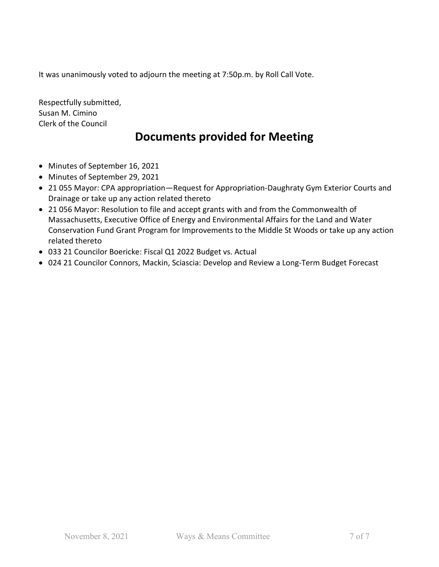It was unanimously voted to adjourn the meeting at 7:50p.m. by Roll Call Vote.

Respectfully submitted, Susan M. Cimino Clerk of the Council

### **Documents provided for Meeting**

- Minutes of September 16, 2021
- Minutes of September 29, 2021
- 21 055 Mayor: CPA appropriation—Request for Appropriation-Daughraty Gym Exterior Courts and Drainage or take up any action related thereto
- 21 056 Mayor: Resolution to file and accept grants with and from the Commonwealth of Massachusetts, Executive Office of Energy and Environmental Affairs for the Land and Water Conservation Fund Grant Program for Improvements to the Middle St Woods or take up any action related thereto
- 033 21 Councilor Boericke: Fiscal Q1 2022 Budget vs. Actual
- 024 21 Councilor Connors, Mackin, Sciascia: Develop and Review a Long-Term Budget Forecast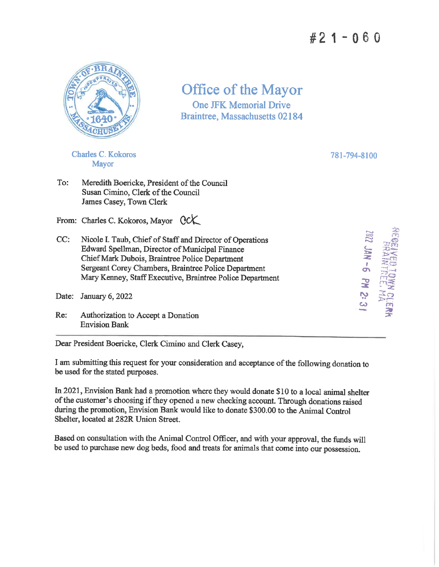## $#21 - 060$



Office of the Mayor **One JFK Memorial Drive Braintree, Massachusetts 02184** 

**Charles C. Kokoros** Mayor

781-794-8100

8:2 NA -6 PN 2:3

To: Meredith Boericke, President of the Council Susan Cimino, Clerk of the Council James Casey, Town Clerk

From: Charles C. Kokoros, Mayor QCK

 $CC:$ Nicole I. Taub, Chief of Staff and Director of Operations Edward Spellman, Director of Municipal Finance Chief Mark Dubois, Braintree Police Department Sergeant Corey Chambers, Braintree Police Department Mary Kenney, Staff Executive, Braintree Police Department

Date: January 6, 2022

Re: Authorization to Accept a Donation **Envision Bank** 

Dear President Boericke, Clerk Cimino and Clerk Casey,

I am submitting this request for your consideration and acceptance of the following donation to be used for the stated purposes.

In 2021, Envision Bank had a promotion where they would donate \$10 to a local animal shelter of the customer's choosing if they opened a new checking account. Through donations raised during the promotion, Envision Bank would like to donate \$300.00 to the Animal Control Shelter, located at 282R Union Street.

Based on consultation with the Animal Control Officer, and with your approval, the funds will be used to purchase new dog beds, food and treats for animals that come into our possession.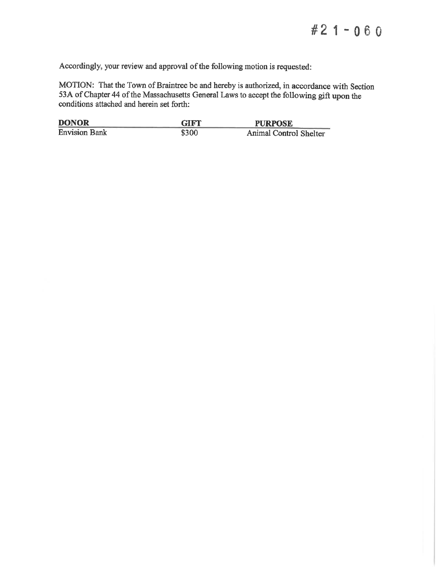Accordingly, your review and approval of the following motion is requested:

MOTION: That the Town of Braintree be and hereby is authorized, in accordance with Section 53A of Chapter 44 of the Massachusetts General Laws to accept the following gift upon the conditions attached and herein set forth:

| <b>DONOR</b>         | <b>GIFT</b> | <b>PURPOSE</b>         |
|----------------------|-------------|------------------------|
| <b>Envision Bank</b> | \$300       | Animal Control Shelter |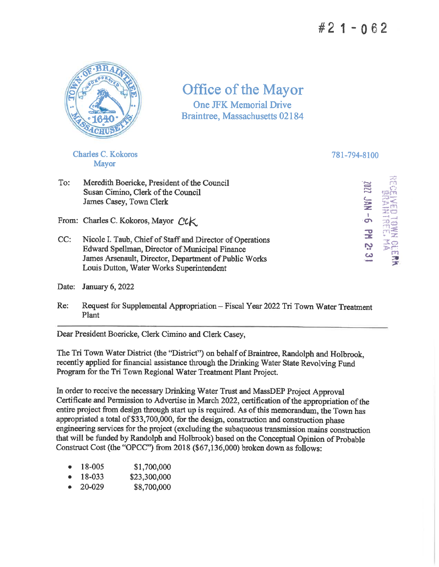# $#21 - 062$



Office of the Mayor **One JFK Memorial Drive** Braintree, Massachusetts 02184

**Charles C. Kokoros Mayor** 

781-794-8100

To: Meredith Boericke, President of the Council Susan Cimino, Clerk of the Council James Casey, Town Clerk

From: Charles C. Kokoros, Mayor CCK

 $CC:$ Nicole I. Taub, Chief of Staff and Director of Operations Edward Spellman, Director of Municipal Finance James Arsenault, Director, Department of Public Works Louis Dutton, Water Works Superintendent

Date: January 6, 2022

Request for Supplemental Appropriation - Fiscal Year 2022 Tri Town Water Treatment  $Re:$ Plant

Dear President Boericke, Clerk Cimino and Clerk Casey,

The Tri Town Water District (the "District") on behalf of Braintree, Randolph and Holbrook, recently applied for financial assistance through the Drinking Water State Revolving Fund Program for the Tri Town Regional Water Treatment Plant Project.

In order to receive the necessary Drinking Water Trust and MassDEP Project Approval Certificate and Permission to Advertise in March 2022, certification of the appropriation of the entire project from design through start up is required. As of this memorandum, the Town has appropriated a total of \$33,700,000, for the design, construction and construction phase engineering services for the project (excluding the subaqueous transmission mains construction that will be funded by Randolph and Holbrook) based on the Conceptual Opinion of Probable Construct Cost (the "OPCC") from 2018 (\$67,136,000) broken down as follows:

- 18-005 \$1,700,000
- 18-033 \$23,300,000
- 20-029 \$8,700,000

 $\mathbf{r}$ 四星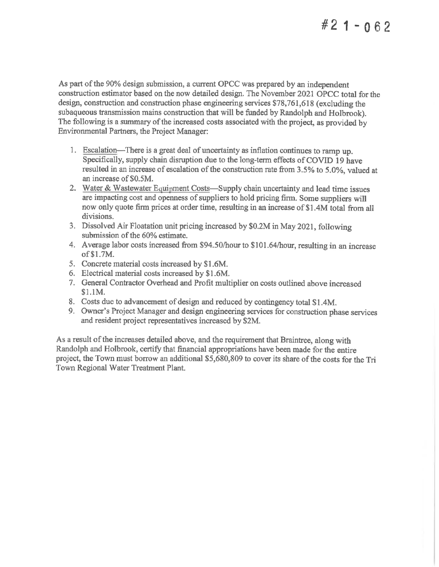## $#21 - 062$

As part of the 90% design submission, a current OPCC was prepared by an independent construction estimator based on the now detailed design. The November 2021 OPCC total for the design, construction and construction phase engineering services \$78,761,618 (excluding the subaqueous transmission mains construction that will be funded by Randolph and Holbrook). The following is a summary of the increased costs associated with the project, as provided by Environmental Partners, the Project Manager:

- 1. Escalation—There is a great deal of uncertainty as inflation continues to ramp up. Specifically, supply chain disruption due to the long-term effects of COVID 19 have resulted in an increase of escalation of the construction rate from 3.5% to 5.0%, valued at an increase of \$0.5M.
- 2. Water & Wastewater Equipment Costs—Supply chain uncertainty and lead time issues are impacting cost and openness of suppliers to hold pricing firm. Some suppliers will now only quote firm prices at order time, resulting in an increase of \$1.4M total from all divisions.
- 3. Dissolved Air Floatation unit pricing increased by \$0.2M in May 2021, following submission of the 60% estimate.
- 4. Average labor costs increased from \$94.50/hour to \$101.64/hour, resulting in an increase of \$1.7M.
- 5. Concrete material costs increased by \$1.6M.
- 6. Electrical material costs increased by \$1.6M.
- 7. General Contractor Overhead and Profit multiplier on costs outlined above increased \$1.1M.
- 8. Costs due to advancement of design and reduced by contingency total \$1.4M.
- 9. Owner's Project Manager and design engineering services for construction phase services and resident project representatives increased by \$2M.

As a result of the increases detailed above, and the requirement that Braintree, along with Randolph and Holbrook, certify that financial appropriations have been made for the entire project, the Town must borrow an additional \$5,680,809 to cover its share of the costs for the Tri Town Regional Water Treatment Plant.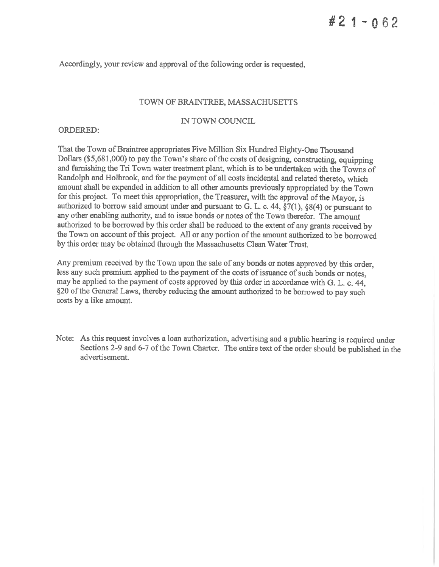Accordingly, your review and approval of the following order is requested.

### TOWN OF BRAINTREE, MASSACHUSETTS

### IN TOWN COUNCIL

### **ORDERED:**

That the Town of Braintree appropriates Five Million Six Hundred Eighty-One Thousand Dollars (\$5,681,000) to pay the Town's share of the costs of designing, constructing, equipping and furnishing the Tri Town water treatment plant, which is to be undertaken with the Towns of Randolph and Holbrook, and for the payment of all costs incidental and related thereto, which amount shall be expended in addition to all other amounts previously appropriated by the Town for this project. To meet this appropriation, the Treasurer, with the approval of the Mayor, is authorized to borrow said amount under and pursuant to G. L. c. 44,  $\S7(1)$ ,  $\S8(4)$  or pursuant to any other enabling authority, and to issue bonds or notes of the Town therefor. The amount authorized to be borrowed by this order shall be reduced to the extent of any grants received by the Town on account of this project. All or any portion of the amount authorized to be borrowed by this order may be obtained through the Massachusetts Clean Water Trust.

Any premium received by the Town upon the sale of any bonds or notes approved by this order. less any such premium applied to the payment of the costs of issuance of such bonds or notes, may be applied to the payment of costs approved by this order in accordance with G. L. c. 44, §20 of the General Laws, thereby reducing the amount authorized to be borrowed to pay such costs by a like amount.

Note: As this request involves a loan authorization, advertising and a public hearing is required under Sections 2-9 and 6-7 of the Town Charter. The entire text of the order should be published in the advertisement.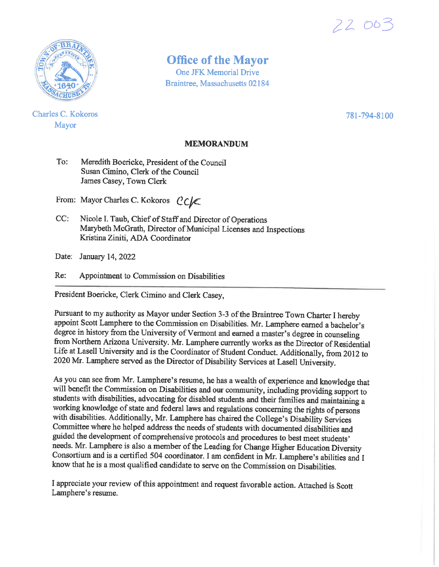

**Charles C. Kokoros** Mayor

## **Office of the Mayor**

**One JFK Memorial Drive Braintree, Massachusetts 02184** 

781-794-8100

22 003

### **MEMORANDUM**

 $To:$ Meredith Boericke, President of the Council Susan Cimino, Clerk of the Council James Casey, Town Clerk

From: Mayor Charles C. Kokoros CC

 $CC:$ Nicole I. Taub, Chief of Staff and Director of Operations Marybeth McGrath, Director of Municipal Licenses and Inspections Kristina Ziniti, ADA Coordinator

Date: January 14, 2022

Appointment to Commission on Disabilities  $Re:$ 

President Boericke, Clerk Cimino and Clerk Casey,

Pursuant to my authority as Mayor under Section 3-3 of the Braintree Town Charter I hereby appoint Scott Lamphere to the Commission on Disabilities. Mr. Lamphere earned a bachelor's degree in history from the University of Vermont and earned a master's degree in counseling from Northern Arizona University. Mr. Lamphere currently works as the Director of Residential Life at Lasell University and is the Coordinator of Student Conduct. Additionally, from 2012 to 2020 Mr. Lamphere served as the Director of Disability Services at Lasell University.

As you can see from Mr. Lamphere's resume, he has a wealth of experience and knowledge that will benefit the Commission on Disabilities and our community, including providing support to students with disabilities, advocating for disabled students and their families and maintaining a working knowledge of state and federal laws and regulations concerning the rights of persons with disabilities. Additionally, Mr. Lamphere has chaired the College's Disability Services Committee where he helped address the needs of students with documented disabilities and guided the development of comprehensive protocols and procedures to best meet students' needs. Mr. Lamphere is also a member of the Leading for Change Higher Education Diversity Consortium and is a certified 504 coordinator. I am confident in Mr. Lamphere's abilities and I know that he is a most qualified candidate to serve on the Commission on Disabilities.

I appreciate your review of this appointment and request favorable action. Attached is Scott Lamphere's resume.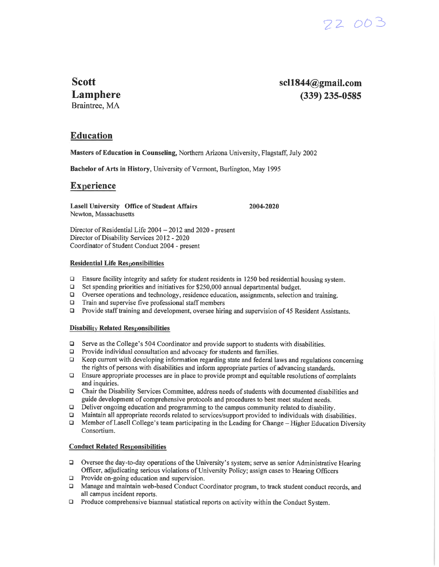

**Scott** Lamphere Braintree, MA

 $sc1844@gmail.com$  $(339)$  235-0585

### **Education**

Masters of Education in Counseling, Northern Arizona University, Flagstaff, July 2002

Bachelor of Arts in History, University of Vermont, Burlington, May 1995

#### **Experience**

**Lasell University Office of Student Affairs** Newton, Massachusetts

Director of Residential Life 2004 - 2012 and 2020 - present Director of Disability Services 2012 - 2020 Coordinator of Student Conduct 2004 - present

#### **Residential Life Responsibilities**

 $\Box$ Ensure facility integrity and safety for student residents in 1250 bed residential housing system.

2004-2020

- $\Box$ Set spending priorities and initiatives for \$250,000 annual departmental budget.
- $\Box$ Oversee operations and technology, residence education, assignments, selection and training.
- Train and supervise five professional staff members  $\Box$
- $\Box$ Provide staff training and development, oversee hiring and supervision of 45 Resident Assistants.

#### **Disability Related Responsibilities**

- Serve as the College's 504 Coordinator and provide support to students with disabilities.  $\Box$
- $\Box$ Provide individual consultation and advocacy for students and families.
- Keep current with developing information regarding state and federal laws and regulations concerning the rights of persons with disabilities and inform appropriate parties of advancing standards.
- $\Box$  Ensure appropriate processes are in place to provide prompt and equitable resolutions of complaints and inquiries.
- Chair the Disability Services Committee, address needs of students with documented disabilities and  $\Box$ guide development of comprehensive protocols and procedures to best meet student needs.
- Deliver ongoing education and programming to the campus community related to disability.  $\Box$
- Maintain all appropriate records related to services/support provided to individuals with disabilities.  $\Box$
- $\Box$ Member of Lasell College's team participating in the Leading for Change – Higher Education Diversity Consortium.

#### **Conduct Related Responsibilities**

- $\Box$  Oversee the day-to-day operations of the University's system; serve as senior Administrative Hearing Officer, adjudicating serious violations of University Policy; assign cases to Hearing Officers
- $\Box$  Provide on-going education and supervision.
- $\Box$ Manage and maintain web-based Conduct Coordinator program, to track student conduct records, and all campus incident reports.
- $\Box$  Produce comprehensive biannual statistical reports on activity within the Conduct System.